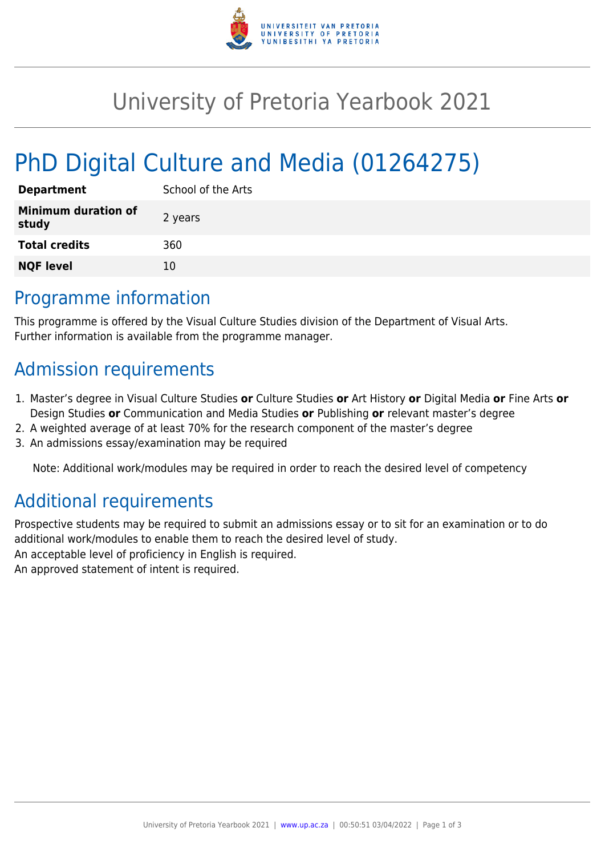

# University of Pretoria Yearbook 2021

# PhD Digital Culture and Media (01264275)

| <b>Department</b>                   | School of the Arts |
|-------------------------------------|--------------------|
| <b>Minimum duration of</b><br>study | 2 years            |
| <b>Total credits</b>                | 360                |
| <b>NQF level</b>                    | 10                 |

### Programme information

This programme is offered by the Visual Culture Studies division of the Department of Visual Arts. Further information is available from the programme manager.

## Admission requirements

- 1. Master's degree in Visual Culture Studies **or** Culture Studies **or** Art History **or** Digital Media **or** Fine Arts **or** Design Studies **or** Communication and Media Studies **or** Publishing **or** relevant master's degree
- 2. A weighted average of at least 70% for the research component of the master's degree
- 3. An admissions essay/examination may be required

Note: Additional work/modules may be required in order to reach the desired level of competency

## Additional requirements

Prospective students may be required to submit an admissions essay or to sit for an examination or to do additional work/modules to enable them to reach the desired level of study. An acceptable level of proficiency in English is required. An approved statement of intent is required.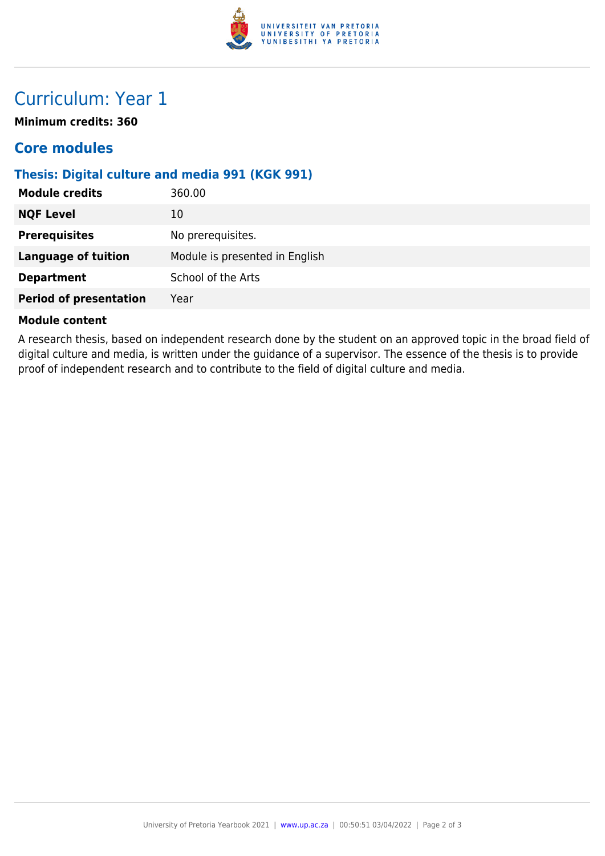

### Curriculum: Year 1

**Minimum credits: 360**

### **Core modules**

#### **Thesis: Digital culture and media 991 (KGK 991)**

| 360.00                         |
|--------------------------------|
| 10                             |
| No prerequisites.              |
| Module is presented in English |
| School of the Arts             |
| Year                           |
|                                |

#### **Module content**

A research thesis, based on independent research done by the student on an approved topic in the broad field of digital culture and media, is written under the guidance of a supervisor. The essence of the thesis is to provide proof of independent research and to contribute to the field of digital culture and media.